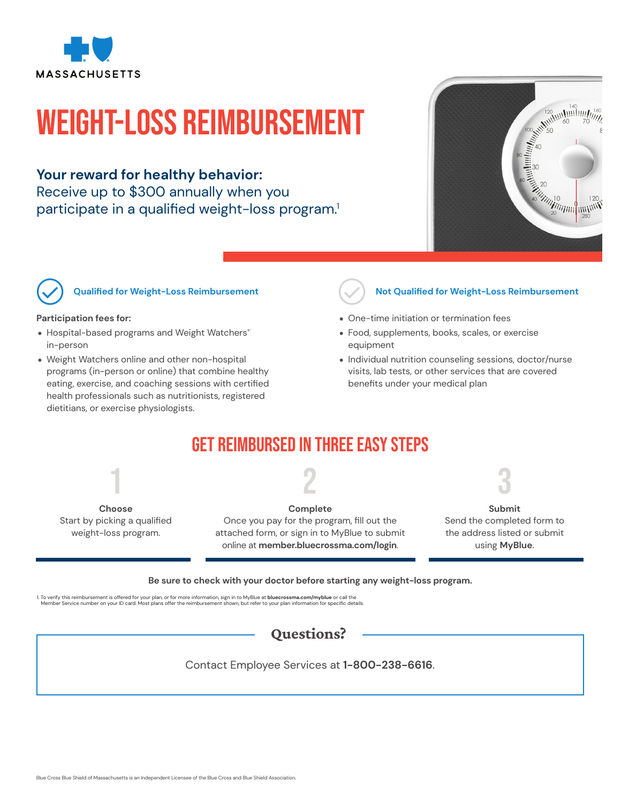

# Weight-Loss Reimbursement

### **Your reward for healthy behavior:**

Receive up to \$300 annually when you participate in a qualified weight-loss program.<sup>1</sup>



**Qualified for Weight-Loss Reimbursement**

### **Participation fees for:**

- Hospital-based programs and Weight Watchers® in-person
- Weight Watchers online and other non-hospital programs (in-person or online) that combine healthy eating, exercise, and coaching sessions with certified health professionals such as nutritionists, registered dietitians, or exercise physiologists.



### **Not Qualified for Weight-Loss Reimbursement**

- One-time initiation or termination fees
- Food, supplements, books, scales, or exercise equipment
- Individual nutrition counseling sessions, doctor/nurse visits, lab tests, or other services that are covered benefits under your medical plan

### Get Reimbursed in Three Easy Steps



Start by picking a qualified weight-loss program.

2

**Complete** Once you pay for the program, fill out the attached form, or sign in to MyBlue to submit online at **member.bluecrossma.com/login**.

3

**Submit** Send the completed form to the address listed or submit using **MyBlue**.

**Be sure to check with your doctor before starting any weight-loss program.**

1. To verify this reimbursement is offered for your plan, or for more information, sign in to MyBlue a**t bluecrossma.com/myblue** or call the<br>Member Service number on your ID card. Most plans offer the reimbursement shown,



Contact Employee Services at **1-800-238-6616**.